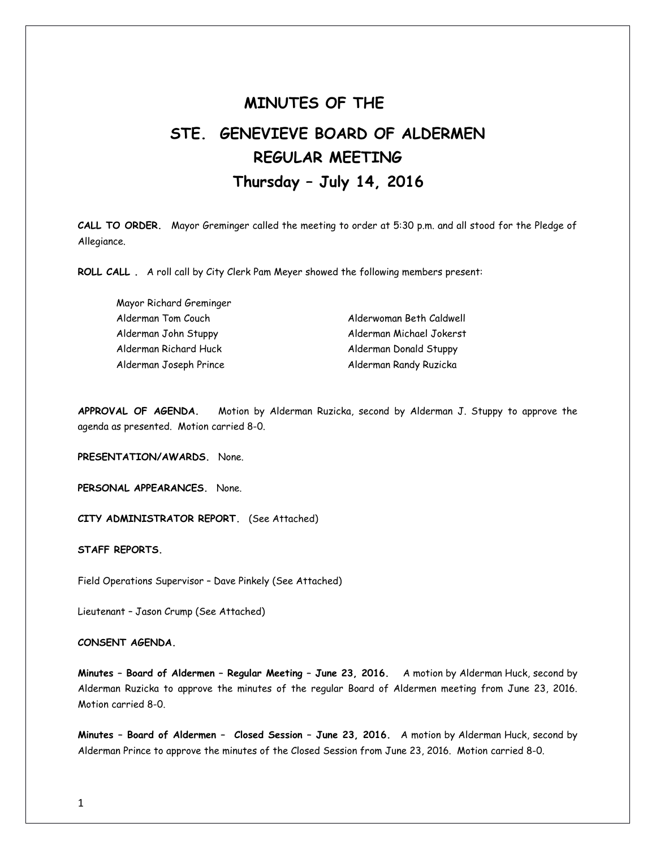# **MINUTES OF THE STE. GENEVIEVE BOARD OF ALDERMEN REGULAR MEETING Thursday – July 14, 2016**

**CALL TO ORDER.** Mayor Greminger called the meeting to order at 5:30 p.m. and all stood for the Pledge of Allegiance.

**ROLL CALL .** A roll call by City Clerk Pam Meyer showed the following members present:

Mayor Richard Greminger Alderman Tom Couch and Alderwoman Beth Caldwell Alderman John Stuppy Alderman Michael Jokerst Alderman Richard Huck Alderman Donald Stuppy Alderman Joseph Prince **Alderman Randy Ruzicka** 

**APPROVAL OF AGENDA.** Motion by Alderman Ruzicka, second by Alderman J. Stuppy to approve the agenda as presented. Motion carried 8-0.

**PRESENTATION/AWARDS.** None.

**PERSONAL APPEARANCES.** None.

**CITY ADMINISTRATOR REPORT.** (See Attached)

**STAFF REPORTS.** 

Field Operations Supervisor – Dave Pinkely (See Attached)

Lieutenant – Jason Crump (See Attached)

## **CONSENT AGENDA.**

**Minutes – Board of Aldermen – Regular Meeting – June 23, 2016.** A motion by Alderman Huck, second by Alderman Ruzicka to approve the minutes of the regular Board of Aldermen meeting from June 23, 2016. Motion carried 8-0.

**Minutes – Board of Aldermen – Closed Session – June 23, 2016.** A motion by Alderman Huck, second by Alderman Prince to approve the minutes of the Closed Session from June 23, 2016. Motion carried 8-0.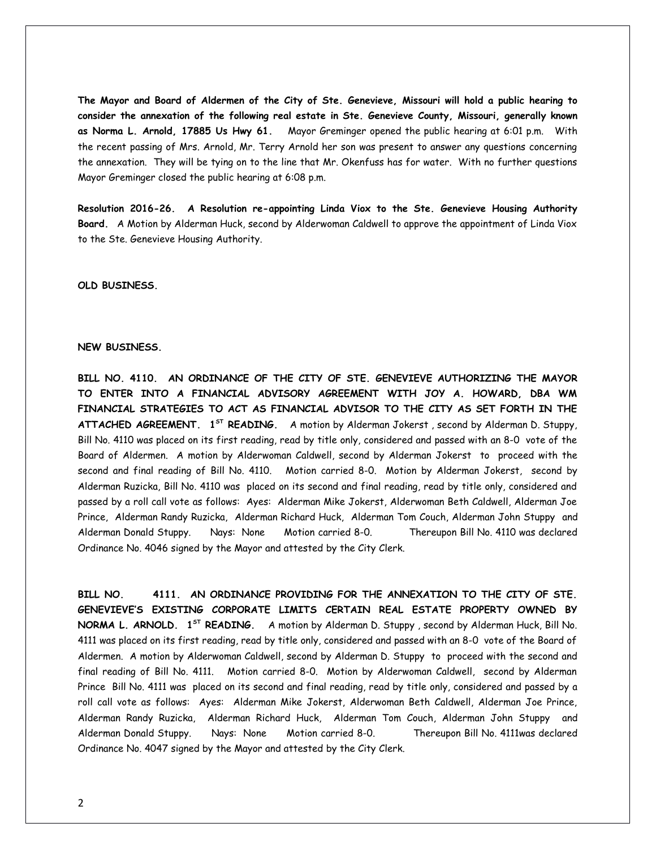**The Mayor and Board of Aldermen of the City of Ste. Genevieve, Missouri will hold a public hearing to consider the annexation of the following real estate in Ste. Genevieve County, Missouri, generally known as Norma L. Arnold, 17885 Us Hwy 61.** Mayor Greminger opened the public hearing at 6:01 p.m. With the recent passing of Mrs. Arnold, Mr. Terry Arnold her son was present to answer any questions concerning the annexation. They will be tying on to the line that Mr. Okenfuss has for water. With no further questions Mayor Greminger closed the public hearing at 6:08 p.m.

**Resolution 2016-26. A Resolution re-appointing Linda Viox to the Ste. Genevieve Housing Authority Board.** A Motion by Alderman Huck, second by Alderwoman Caldwell to approve the appointment of Linda Viox to the Ste. Genevieve Housing Authority.

### **OLD BUSINESS.**

#### **NEW BUSINESS.**

**BILL NO. 4110. AN ORDINANCE OF THE CITY OF STE. GENEVIEVE AUTHORIZING THE MAYOR TO ENTER INTO A FINANCIAL ADVISORY AGREEMENT WITH JOY A. HOWARD, DBA WM FINANCIAL STRATEGIES TO ACT AS FINANCIAL ADVISOR TO THE CITY AS SET FORTH IN THE ATTACHED AGREEMENT. 1ST READING.** A motion by Alderman Jokerst , second by Alderman D. Stuppy, Bill No. 4110 was placed on its first reading, read by title only, considered and passed with an 8-0 vote of the Board of Aldermen. A motion by Alderwoman Caldwell, second by Alderman Jokerst to proceed with the second and final reading of Bill No. 4110. Motion carried 8-0. Motion by Alderman Jokerst, second by Alderman Ruzicka, Bill No. 4110 was placed on its second and final reading, read by title only, considered and passed by a roll call vote as follows: Ayes: Alderman Mike Jokerst, Alderwoman Beth Caldwell, Alderman Joe Prince, Alderman Randy Ruzicka, Alderman Richard Huck, Alderman Tom Couch, Alderman John Stuppy and Alderman Donald Stuppy. Nays: None Motion carried 8-0. Thereupon Bill No. 4110 was declared Ordinance No. 4046 signed by the Mayor and attested by the City Clerk.

**BILL NO. 4111. AN ORDINANCE PROVIDING FOR THE ANNEXATION TO THE CITY OF STE. GENEVIEVE'S EXISTING CORPORATE LIMITS CERTAIN REAL ESTATE PROPERTY OWNED BY NORMA L. ARNOLD. 1ST READING.** A motion by Alderman D. Stuppy , second by Alderman Huck, Bill No. 4111 was placed on its first reading, read by title only, considered and passed with an 8-0 vote of the Board of Aldermen. A motion by Alderwoman Caldwell, second by Alderman D. Stuppy to proceed with the second and final reading of Bill No. 4111. Motion carried 8-0. Motion by Alderwoman Caldwell, second by Alderman Prince Bill No. 4111 was placed on its second and final reading, read by title only, considered and passed by a roll call vote as follows: Ayes: Alderman Mike Jokerst, Alderwoman Beth Caldwell, Alderman Joe Prince, Alderman Randy Ruzicka, Alderman Richard Huck, Alderman Tom Couch, Alderman John Stuppy and Alderman Donald Stuppy. Nays: None Motion carried 8-0. Thereupon Bill No. 4111was declared Ordinance No. 4047 signed by the Mayor and attested by the City Clerk.